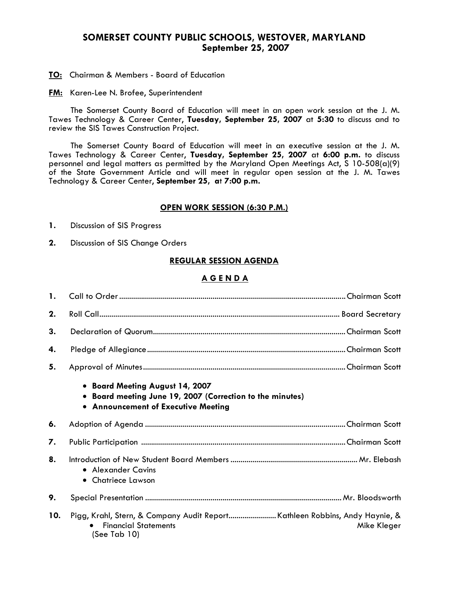# **SOMERSET COUNTY PUBLIC SCHOOLS, WESTOVER, MARYLAND September 25, 2007**

**TO:** Chairman & Members - Board of Education

**FM:** Karen-Lee N. Brofee, Superintendent

 The Somerset County Board of Education will meet in an open work session at the J. M. Tawes Technology & Career Center, **Tuesday, September 25, 2007** at **5:30** to discuss and to review the SIS Tawes Construction Project.

The Somerset County Board of Education will meet in an executive session at the J. M. Tawes Technology & Career Center, **Tuesday, September 25, 2007** at **6:00 p.m.** to discuss personnel and legal matters as permitted by the Maryland Open Meetings Act, S 10-508(a)(9) of the State Government Article and will meet in regular open session at the J. M. Tawes Technology & Career Center, **September 25, a**t **7:00 p.m.** 

### **OPEN WORK SESSION (6:30 P.M.)**

- **1.** Discussion of SIS Progress
- **2.** Discussion of SIS Change Orders

# **REGULAR SESSION AGENDA**

# **A G E N D A**

| 1.  |                                                                                                                                          |
|-----|------------------------------------------------------------------------------------------------------------------------------------------|
| 2.  |                                                                                                                                          |
| 3.  |                                                                                                                                          |
| 4.  |                                                                                                                                          |
| 5.  |                                                                                                                                          |
|     | • Board Meeting August 14, 2007<br>• Board meeting June 19, 2007 (Correction to the minutes)<br>• Announcement of Executive Meeting      |
| 6.  |                                                                                                                                          |
| 7.  |                                                                                                                                          |
| 8.  | • Alexander Cavins<br>• Chatriece Lawson                                                                                                 |
| 9.  |                                                                                                                                          |
| 10. | Pigg, Krahl, Stern, & Company Audit ReportKathleen Robbins, Andy Haynie, &<br><b>Financial Statements</b><br>Mike Kleger<br>(See Tab 10) |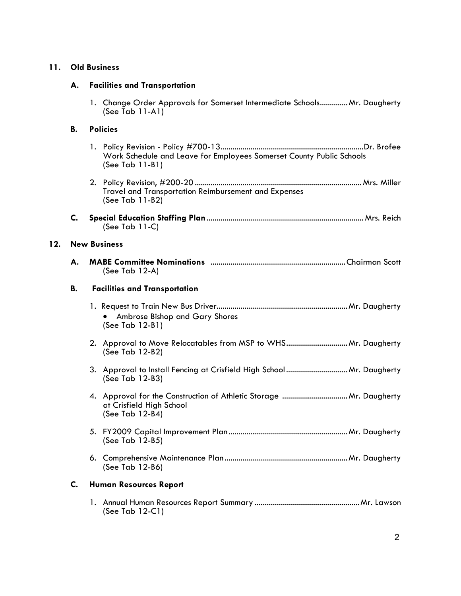# **11. Old Business**

### **A. Facilities and Transportation**

1. Change Order Approvals for Somerset Intermediate Schools.............. Mr. Daugherty (See Tab 11-A1)

#### **B. Policies**

- 1. Policy Revision Policy #700-13........................................................................Dr. Brofee Work Schedule and Leave for Employees Somerset County Public Schools (See Tab 11-B1)
- 2. Policy Revision, #200-20 .................................................................................... Mrs. Miller Travel and Transportation Reimbursement and Expenses (See Tab 11-B2)
- **C. Special Education Staffing Plan**............................................................................... Mrs. Reich (See Tab 11-C)

#### **12. New Business**

| <b>MABE Committee Nominations</b> |  |
|-----------------------------------|--|
| $(See Tab 12-A)$                  |  |

#### **B. Facilities and Transportation**

- 1. Request to Train New Bus Driver..................................................................Mr. Daugherty • Ambrose Bishop and Gary Shores (See Tab 12-B1)
- 2. Approval to Move Relocatables from MSP to WHS...............................Mr. Daugherty (See Tab 12-B2)
- 3. Approval to Install Fencing at Crisfield High School...............................Mr. Daugherty (See Tab 12-B3)
- 4. Approval for the Construction of Athletic Storage .................................Mr. Daugherty at Crisfield High School (See Tab 12-B4)
- 5. FY2009 Capital Improvement Plan............................................................Mr. Daugherty (See Tab 12-B5)
- 6. Comprehensive Maintenance Plan..............................................................Mr. Daugherty (See Tab 12-B6)

#### **C. Human Resources Report**

1. Annual Human Resources Report Summary .....................................................Mr. Lawson (See Tab 12-C1)